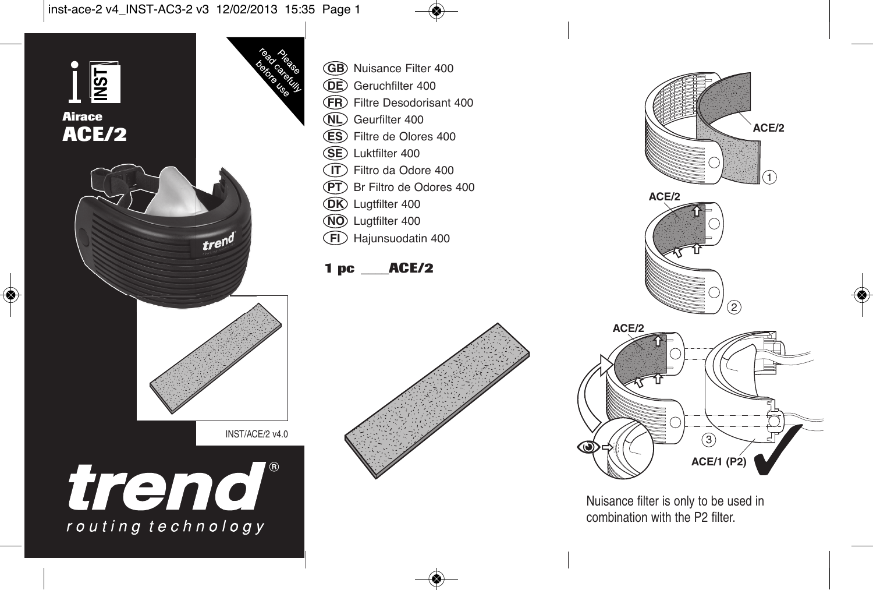## inst-ace-2 v4\_INST-AC3-2 v3 12/02/2013 15:35 Page 1





Nuisance filter is only to be used in combination with the P2 filter.